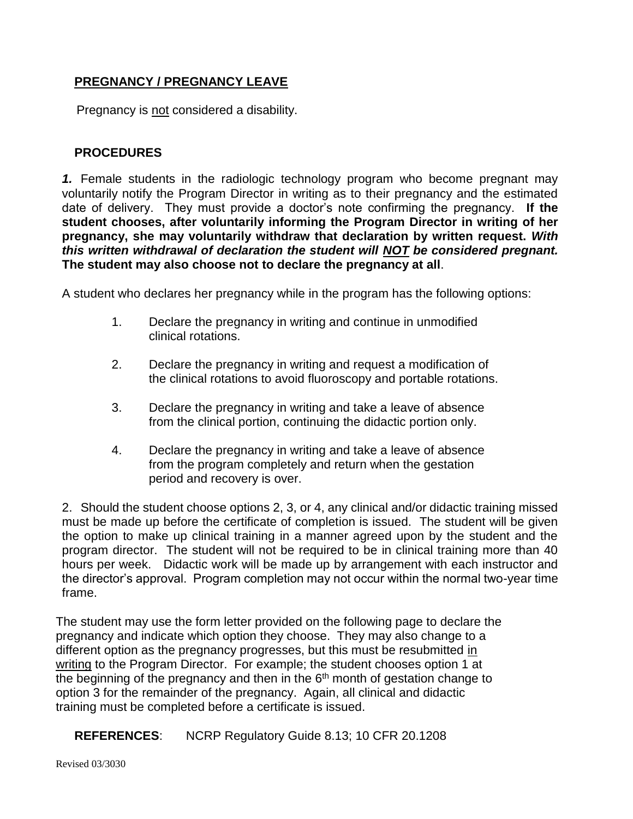## **PREGNANCY / PREGNANCY LEAVE**

Pregnancy is not considered a disability.

## **PROCEDURES**

*1.* Female students in the radiologic technology program who become pregnant may voluntarily notify the Program Director in writing as to their pregnancy and the estimated date of delivery. They must provide a doctor's note confirming the pregnancy. **If the student chooses, after voluntarily informing the Program Director in writing of her pregnancy, she may voluntarily withdraw that declaration by written request.** *With this written withdrawal of declaration the student will NOT be considered pregnant.*  **The student may also choose not to declare the pregnancy at all**.

A student who declares her pregnancy while in the program has the following options:

- 1. Declare the pregnancy in writing and continue in unmodified clinical rotations.
- 2. Declare the pregnancy in writing and request a modification of the clinical rotations to avoid fluoroscopy and portable rotations.
- 3. Declare the pregnancy in writing and take a leave of absence from the clinical portion, continuing the didactic portion only.
- 4. Declare the pregnancy in writing and take a leave of absence from the program completely and return when the gestation period and recovery is over.

2. Should the student choose options 2, 3, or 4, any clinical and/or didactic training missed must be made up before the certificate of completion is issued. The student will be given the option to make up clinical training in a manner agreed upon by the student and the program director. The student will not be required to be in clinical training more than 40 hours per week. Didactic work will be made up by arrangement with each instructor and the director's approval. Program completion may not occur within the normal two-year time frame.

The student may use the form letter provided on the following page to declare the pregnancy and indicate which option they choose. They may also change to a different option as the pregnancy progresses, but this must be resubmitted in writing to the Program Director. For example; the student chooses option 1 at the beginning of the pregnancy and then in the  $6<sup>th</sup>$  month of gestation change to option 3 for the remainder of the pregnancy. Again, all clinical and didactic training must be completed before a certificate is issued.

**REFERENCES**: NCRP Regulatory Guide 8.13; 10 CFR 20.1208